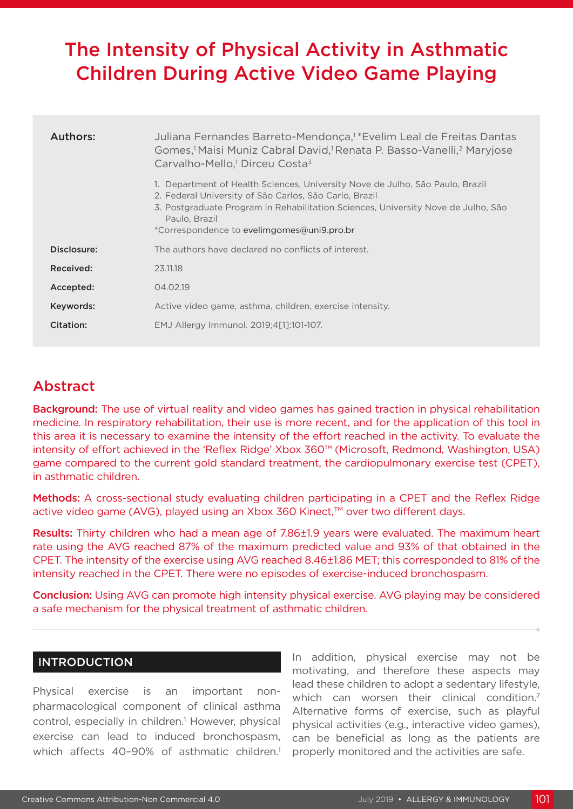# The Intensity of Physical Activity in Asthmatic Children During Active Video Game Playing

| Authors:    | Juliana Fernandes Barreto-Mendonça, <sup>1</sup> *Evelim Leal de Freitas Dantas<br>Gomes, <sup>1</sup> Maisi Muniz Cabral David, <sup>1</sup> Renata P. Basso-Vanelli, <sup>2</sup> Maryjose<br>Carvalho-Mello, <sup>1</sup> Dirceu Costa <sup>3</sup>                                      |
|-------------|---------------------------------------------------------------------------------------------------------------------------------------------------------------------------------------------------------------------------------------------------------------------------------------------|
|             | 1. Department of Health Sciences, University Nove de Julho, São Paulo, Brazil<br>2. Federal University of São Carlos, São Carlo, Brazil<br>3. Postgraduate Program in Rehabilitation Sciences, University Nove de Julho, São<br>Paulo, Brazil<br>*Correspondence to evelimgomes@uni9.pro.br |
| Disclosure: | The authors have declared no conflicts of interest.                                                                                                                                                                                                                                         |
| Received:   | 23.11.18                                                                                                                                                                                                                                                                                    |
| Accepted:   | 04.02.19                                                                                                                                                                                                                                                                                    |
| Keywords:   | Active video game, asthma, children, exercise intensity.                                                                                                                                                                                                                                    |
| Citation:   | EMJ Allergy Immunol. 2019;4[1]:101-107.                                                                                                                                                                                                                                                     |

## Abstract

**Background:** The use of virtual reality and video games has gained traction in physical rehabilitation medicine. In respiratory rehabilitation, their use is more recent, and for the application of this tool in this area it is necessary to examine the intensity of the effort reached in the activity. To evaluate the intensity of effort achieved in the 'Reflex Ridge' Xbox 360™ (Microsoft, Redmond, Washington, USA) game compared to the current gold standard treatment, the cardiopulmonary exercise test (CPET), in asthmatic children.

Methods: A cross-sectional study evaluating children participating in a CPET and the Reflex Ridge active video game (AVG), played using an Xbox 360 Kinect,™ over two different days.

Results: Thirty children who had a mean age of 7.86±1.9 years were evaluated. The maximum heart rate using the AVG reached 87% of the maximum predicted value and 93% of that obtained in the CPET. The intensity of the exercise using AVG reached 8.46±1.86 MET; this corresponded to 81% of the intensity reached in the CPET. There were no episodes of exercise-induced bronchospasm.

Conclusion: Using AVG can promote high intensity physical exercise. AVG playing may be considered a safe mechanism for the physical treatment of asthmatic children.

## INTRODUCTION

Physical exercise is an important nonpharmacological component of clinical asthma control, especially in children.<sup>1</sup> However, physical exercise can lead to induced bronchospasm, which affects 40-90% of asthmatic children.<sup>1</sup>

In addition, physical exercise may not be motivating, and therefore these aspects may lead these children to adopt a sedentary lifestyle, which can worsen their clinical condition.<sup>2</sup> Alternative forms of exercise, such as playful physical activities (e.g., interactive video games), can be beneficial as long as the patients are properly monitored and the activities are safe.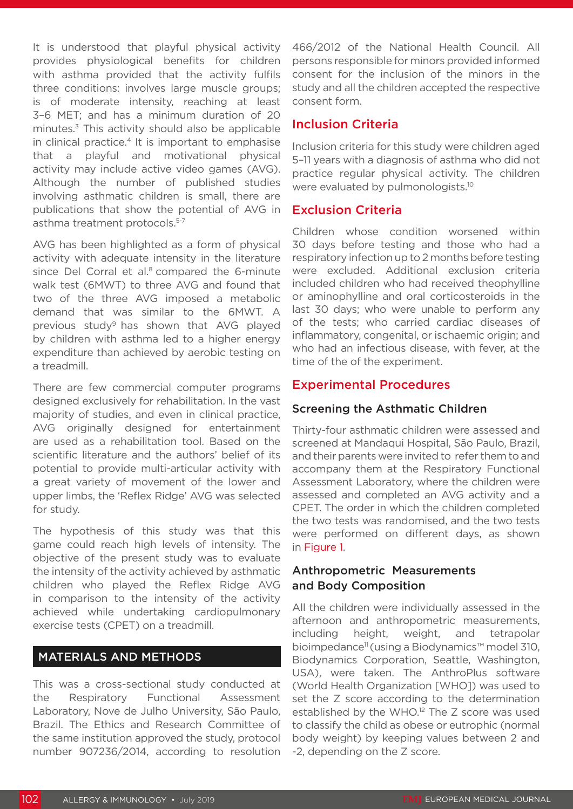It is understood that playful physical activity provides physiological benefits for children with asthma provided that the activity fulfils three conditions: involves large muscle groups; is of moderate intensity, reaching at least 3–6 MET; and has a minimum duration of 20 minutes.3 This activity should also be applicable in clinical practice.<sup>4</sup> It is important to emphasise that a playful and motivational physical activity may include active video games (AVG). Although the number of published studies involving asthmatic children is small, there are publications that show the potential of AVG in asthma treatment protocols.5-7

AVG has been highlighted as a form of physical activity with adequate intensity in the literature since Del Corral et al.<sup>8</sup> compared the 6-minute walk test (6MWT) to three AVG and found that two of the three AVG imposed a metabolic demand that was similar to the 6MWT. A previous study<sup>9</sup> has shown that AVG played by children with asthma led to a higher energy expenditure than achieved by aerobic testing on a treadmill.

There are few commercial computer programs designed exclusively for rehabilitation. In the vast majority of studies, and even in clinical practice, AVG originally designed for entertainment are used as a rehabilitation tool. Based on the scientific literature and the authors' belief of its potential to provide multi-articular activity with a great variety of movement of the lower and upper limbs, the 'Reflex Ridge' AVG was selected for study.

The hypothesis of this study was that this game could reach high levels of intensity. The objective of the present study was to evaluate the intensity of the activity achieved by asthmatic children who played the Reflex Ridge AVG in comparison to the intensity of the activity achieved while undertaking cardiopulmonary exercise tests (CPET) on a treadmill.

## MATERIALS AND METHODS

This was a cross-sectional study conducted at the Respiratory Functional Assessment Laboratory, Nove de Julho University, São Paulo, Brazil. The Ethics and Research Committee of the same institution approved the study, protocol number 907236/2014, according to resolution

466/2012 of the National Health Council. All persons responsible for minors provided informed consent for the inclusion of the minors in the study and all the children accepted the respective consent form.

## Inclusion Criteria

Inclusion criteria for this study were children aged 5–11 years with a diagnosis of asthma who did not practice regular physical activity. The children were evaluated by pulmonologists.<sup>10</sup>

## Exclusion Criteria

Children whose condition worsened within 30 days before testing and those who had a respiratory infection up to 2 months before testing were excluded. Additional exclusion criteria included children who had received theophylline or aminophylline and oral corticosteroids in the last 30 days; who were unable to perform any of the tests; who carried cardiac diseases of inflammatory, congenital, or ischaemic origin; and who had an infectious disease, with fever, at the time of the of the experiment.

## Experimental Procedures

## Screening the Asthmatic Children

Thirty-four asthmatic children were assessed and screened at Mandaqui Hospital, São Paulo, Brazil, and their parents were invited to refer them to and accompany them at the Respiratory Functional Assessment Laboratory, where the children were assessed and completed an AVG activity and a CPET. The order in which the children completed the two tests was randomised, and the two tests were performed on different days, as shown in Figure 1.

## Anthropometric Measurements and Body Composition

All the children were individually assessed in the afternoon and anthropometric measurements, including height, weight, and tetrapolar bioimpedance<sup>11</sup> (using a Biodynamics™ model 310, Biodynamics Corporation, Seattle, Washington, USA), were taken. The AnthroPlus software (World Health Organization [WHO]) was used to set the Z score according to the determination established by the WHO.12 The Z score was used to classify the child as obese or eutrophic (normal body weight) by keeping values between 2 and -2, depending on the Z score.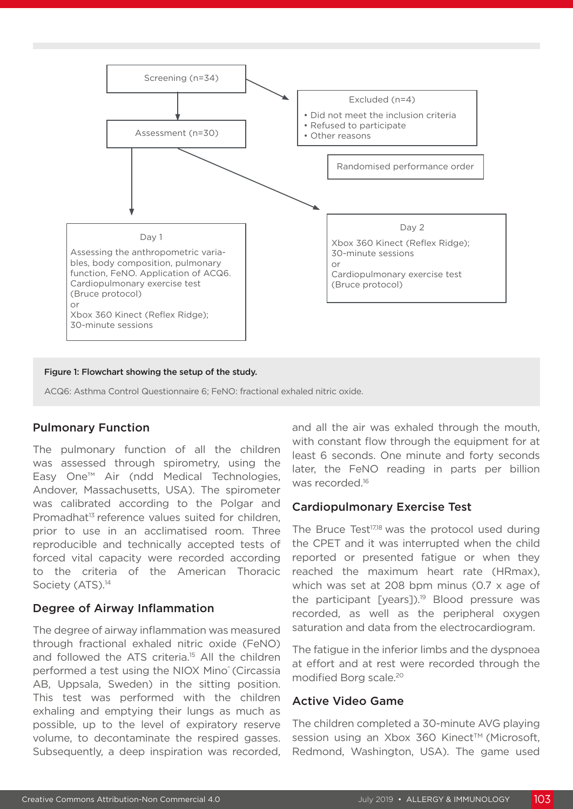

Figure 1: Flowchart showing the setup of the study.

ACQ6: Asthma Control Questionnaire 6; FeNO: fractional exhaled nitric oxide.

### Pulmonary Function

The pulmonary function of all the children was assessed through spirometry, using the Easy One™ Air (ndd Medical Technologies, Andover, Massachusetts, USA). The spirometer was calibrated according to the Polgar and Promadhat<sup>13</sup> reference values suited for children, prior to use in an acclimatised room. Three reproducible and technically accepted tests of forced vital capacity were recorded according to the criteria of the American Thoracic Society (ATS).<sup>14</sup>

#### Degree of Airway Inflammation

The degree of airway inflammation was measured through fractional exhaled nitric oxide (FeNO) and followed the ATS criteria.<sup>15</sup> All the children performed a test using the NIOX Mino<sup>®</sup> (Circassia AB, Uppsala, Sweden) in the sitting position. This test was performed with the children exhaling and emptying their lungs as much as possible, up to the level of expiratory reserve volume, to decontaminate the respired gasses. Subsequently, a deep inspiration was recorded,

and all the air was exhaled through the mouth, with constant flow through the equipment for at least 6 seconds. One minute and forty seconds later, the FeNO reading in parts per billion was recorded.<sup>16</sup>

#### Cardiopulmonary Exercise Test

The Bruce Test<sup>17,18</sup> was the protocol used during the CPET and it was interrupted when the child reported or presented fatigue or when they reached the maximum heart rate (HRmax), which was set at 208 bpm minus (0.7 x age of the participant [years]).<sup>19</sup> Blood pressure was recorded, as well as the peripheral oxygen saturation and data from the electrocardiogram.

The fatigue in the inferior limbs and the dyspnoea at effort and at rest were recorded through the modified Borg scale.20

#### Active Video Game

The children completed a 30-minute AVG playing session using an Xbox 360 Kinect™ (Microsoft, Redmond, Washington, USA). The game used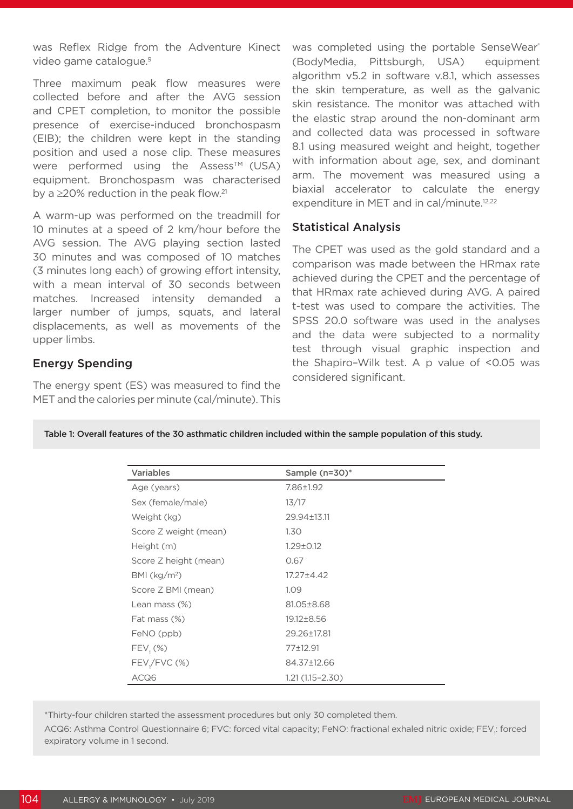was Reflex Ridge from the Adventure Kinect video game catalogue.<sup>9</sup>

Three maximum peak flow measures were collected before and after the AVG session and CPET completion, to monitor the possible presence of exercise-induced bronchospasm (EIB); the children were kept in the standing position and used a nose clip. These measures were performed using the Assess<sup>TM</sup> (USA) equipment. Bronchospasm was characterised by a  $\geq$ 20% reduction in the peak flow.<sup>21</sup>

A warm-up was performed on the treadmill for 10 minutes at a speed of 2 km/hour before the AVG session. The AVG playing section lasted 30 minutes and was composed of 10 matches (3 minutes long each) of growing effort intensity, with a mean interval of 30 seconds between matches. Increased intensity demanded a larger number of jumps, squats, and lateral displacements, as well as movements of the upper limbs.

## Energy Spending

The energy spent (ES) was measured to find the MET and the calories per minute (cal/minute). This was completed using the portable SenseWear® (BodyMedia, Pittsburgh, USA) equipment algorithm v5.2 in software v.8.1, which assesses the skin temperature, as well as the galvanic skin resistance. The monitor was attached with the elastic strap around the non-dominant arm and collected data was processed in software 8.1 using measured weight and height, together with information about age, sex, and dominant arm. The movement was measured using a biaxial accelerator to calculate the energy expenditure in MET and in cal/minute.<sup>12,22</sup>

#### Statistical Analysis

The CPET was used as the gold standard and a comparison was made between the HRmax rate achieved during the CPET and the percentage of that HRmax rate achieved during AVG. A paired t-test was used to compare the activities. The SPSS 20.0 software was used in the analyses and the data were subjected to a normality test through visual graphic inspection and the Shapiro–Wilk test. A p value of <0.05 was considered significant.

|  |  | Table 1: Overall features of the 30 asthmatic children included within the sample population of this study. |  |
|--|--|-------------------------------------------------------------------------------------------------------------|--|
|  |  |                                                                                                             |  |

| <b>Variables</b>         | Sample (n=30)*      |  |
|--------------------------|---------------------|--|
| Age (years)              | 7.86±1.92           |  |
| Sex (female/male)        | 13/17               |  |
| Weight (kg)              | 29.94±13.11         |  |
| Score Z weight (mean)    | 1.30                |  |
| Height (m)               | $1.29 \pm 0.12$     |  |
| Score Z height (mean)    | 0.67                |  |
| BMI (kg/m <sup>2</sup> ) | 17.27 ± 4.42        |  |
| Score Z BMI (mean)       | 1.09                |  |
| Lean mass $(\%)$         | 81.05±8.68          |  |
| Fat mass (%)             | 19.12±8.56          |  |
| FeNO (ppb)               | 29.26±17.81         |  |
| $FEV_1(\%)$              | 77±12.91            |  |
| $FEV1/FVC$ (%)           | 84.37±12.66         |  |
| ACQ6                     | $1.21(1.15 - 2.30)$ |  |

\*Thirty-four children started the assessment procedures but only 30 completed them.

ACQ6: Asthma Control Questionnaire 6; FVC: forced vital capacity; FeNO: fractional exhaled nitric oxide; FEV<sub>i</sub>: forced expiratory volume in 1 second.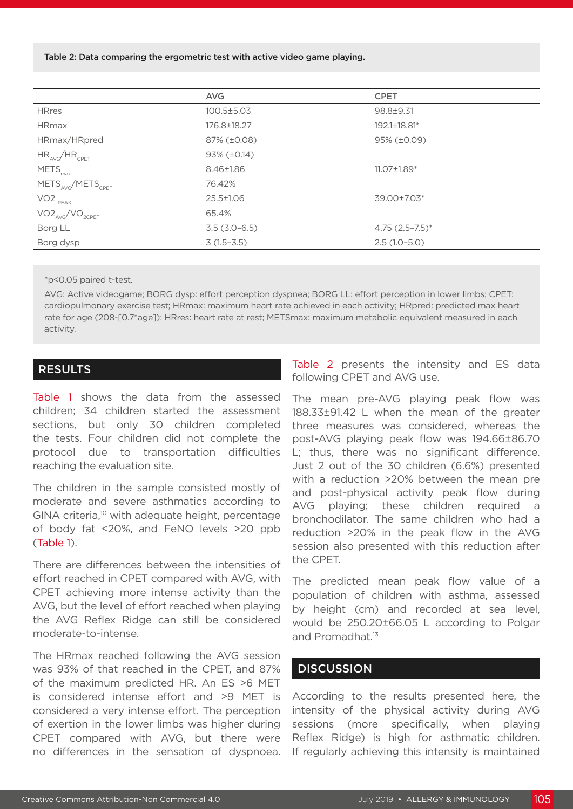Table 2: Data comparing the ergometric test with active video game playing.

|                                           | <b>AVG</b>           | <b>CPET</b>         |
|-------------------------------------------|----------------------|---------------------|
| <b>HRres</b>                              | 100.5±5.03           | 98.8±9.31           |
| <b>HRmax</b>                              | 176.8±18.27          | 192.1±18.81*        |
| HRmax/HRpred                              | 87% (±0.08)          | 95% (±0.09)         |
| $HR_{AVG}/HR_{CPET}$                      | $93\%$ ( $\pm$ 0.14) |                     |
| $METS_{max}$                              | 8.46±1.86            | 11.07±1.89*         |
| METS <sub>AVG</sub> /METS <sub>CPFT</sub> | 76.42%               |                     |
| $VO2$ $_{PEAK}$                           | 25.5±1.06            | 39.00±7.03*         |
| $VO2_{AVG}/VO_{2CPET}$                    | 65.4%                |                     |
| Borg LL                                   | $3.5(3.0-6.5)$       | $4.75(2.5 - 7.5)^*$ |
| Borg dysp                                 | $3(1.5-3.5)$         | $2.5(1.0-5.0)$      |

\*p<0.05 paired t-test.

AVG: Active videogame; BORG dysp: effort perception dyspnea; BORG LL: effort perception in lower limbs; CPET: cardiopulmonary exercise test; HRmax: maximum heart rate achieved in each activity; HRpred: predicted max heart rate for age (208-[0.7\*age]); HRres: heart rate at rest; METSmax: maximum metabolic equivalent measured in each activity.

#### RESULTS

Table 1 shows the data from the assessed children; 34 children started the assessment sections, but only 30 children completed the tests. Four children did not complete the protocol due to transportation difficulties reaching the evaluation site.

The children in the sample consisted mostly of moderate and severe asthmatics according to GINA criteria,<sup>10</sup> with adequate height, percentage of body fat <20%, and FeNO levels >20 ppb (Table 1).

There are differences between the intensities of effort reached in CPET compared with AVG, with CPET achieving more intense activity than the AVG, but the level of effort reached when playing the AVG Reflex Ridge can still be considered moderate-to-intense.

The HRmax reached following the AVG session was 93% of that reached in the CPET, and 87% of the maximum predicted HR. An ES >6 MET is considered intense effort and >9 MET is considered a very intense effort. The perception of exertion in the lower limbs was higher during CPET compared with AVG, but there were no differences in the sensation of dyspnoea. Table 2 presents the intensity and ES data following CPET and AVG use.

The mean pre-AVG playing peak flow was 188.33±91.42 L when the mean of the greater three measures was considered, whereas the post-AVG playing peak flow was 194.66±86.70 L; thus, there was no significant difference. Just 2 out of the 30 children (6.6%) presented with a reduction >20% between the mean pre and post-physical activity peak flow during AVG playing; these children required a bronchodilator. The same children who had a reduction >20% in the peak flow in the AVG session also presented with this reduction after the CPET.

The predicted mean peak flow value of a population of children with asthma, assessed by height (cm) and recorded at sea level, would be 250.20±66.05 L according to Polgar and Promadhat.13

#### **DISCUSSION**

According to the results presented here, the intensity of the physical activity during AVG sessions (more specifically, when playing Reflex Ridge) is high for asthmatic children. If regularly achieving this intensity is maintained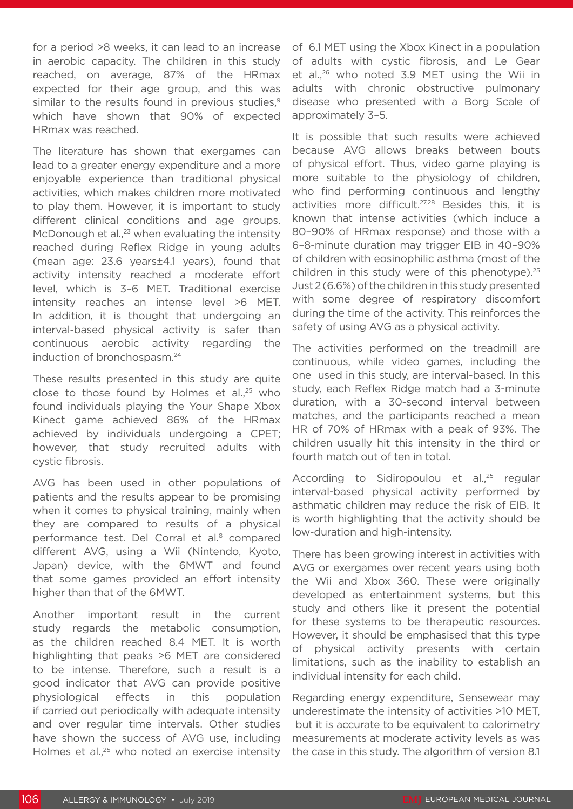for a period >8 weeks, it can lead to an increase in aerobic capacity. The children in this study reached, on average, 87% of the HRmax expected for their age group, and this was similar to the results found in previous studies.<sup>9</sup> which have shown that 90% of expected HRmax was reached.

The literature has shown that exergames can lead to a greater energy expenditure and a more enjoyable experience than traditional physical activities, which makes children more motivated to play them. However, it is important to study different clinical conditions and age groups. McDonough et al., $^{23}$  when evaluating the intensity reached during Reflex Ridge in young adults (mean age: 23.6 years±4.1 years), found that activity intensity reached a moderate effort level, which is 3–6 MET. Traditional exercise intensity reaches an intense level >6 MET. In addition, it is thought that undergoing an interval-based physical activity is safer than continuous aerobic activity regarding the induction of bronchospasm.24

These results presented in this study are quite close to those found by Holmes et al., $25$  who found individuals playing the Your Shape Xbox Kinect game achieved 86% of the HRmax achieved by individuals undergoing a CPET; however, that study recruited adults with cystic fibrosis.

AVG has been used in other populations of patients and the results appear to be promising when it comes to physical training, mainly when they are compared to results of a physical performance test. Del Corral et al.<sup>8</sup> compared different AVG, using a Wii (Nintendo, Kyoto, Japan) device, with the 6MWT and found that some games provided an effort intensity higher than that of the 6MWT.

Another important result in the current study regards the metabolic consumption, as the children reached 8.4 MET. It is worth highlighting that peaks >6 MET are considered to be intense. Therefore, such a result is a good indicator that AVG can provide positive physiological effects in this population if carried out periodically with adequate intensity and over regular time intervals. Other studies have shown the success of AVG use, including Holmes et al.,<sup>25</sup> who noted an exercise intensity

of 6.1 MET using the Xbox Kinect in a population of adults with cystic fibrosis, and Le Gear et al.,<sup>26</sup> who noted 3.9 MET using the Wii in adults with chronic obstructive pulmonary disease who presented with a Borg Scale of approximately 3–5.

It is possible that such results were achieved because AVG allows breaks between bouts of physical effort. Thus, video game playing is more suitable to the physiology of children, who find performing continuous and lengthy activities more difficult.27,28 Besides this, it is known that intense activities (which induce a 80–90% of HRmax response) and those with a 6–8-minute duration may trigger EIB in 40–90% of children with eosinophilic asthma (most of the children in this study were of this phenotype). $25$ Just 2 (6.6%) of the children in this study presented with some degree of respiratory discomfort during the time of the activity. This reinforces the safety of using AVG as a physical activity.

The activities performed on the treadmill are continuous, while video games, including the one used in this study, are interval-based. In this study, each Reflex Ridge match had a 3-minute duration, with a 30-second interval between matches, and the participants reached a mean HR of 70% of HRmax with a peak of 93%. The children usually hit this intensity in the third or fourth match out of ten in total.

According to Sidiropoulou et al.,<sup>25</sup> regular interval-based physical activity performed by asthmatic children may reduce the risk of EIB. It is worth highlighting that the activity should be low-duration and high-intensity.

There has been growing interest in activities with AVG or exergames over recent years using both the Wii and Xbox 360. These were originally developed as entertainment systems, but this study and others like it present the potential for these systems to be therapeutic resources. However, it should be emphasised that this type of physical activity presents with certain limitations, such as the inability to establish an individual intensity for each child.

Regarding energy expenditure, Sensewear may underestimate the intensity of activities >10 MET, but it is accurate to be equivalent to calorimetry measurements at moderate activity levels as was the case in this study. The algorithm of version 8.1